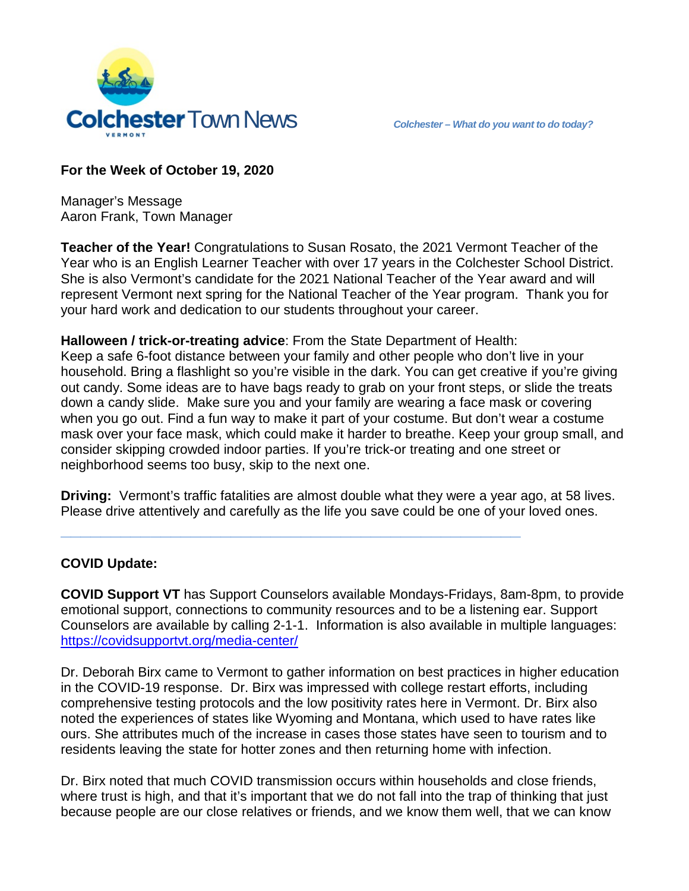

# **For the Week of October 19, 2020**

Manager's Message Aaron Frank, Town Manager

**Teacher of the Year!** Congratulations to Susan Rosato, the 2021 Vermont Teacher of the Year who is an English Learner Teacher with over 17 years in the Colchester School District. She is also Vermont's candidate for the 2021 National Teacher of the Year award and will represent Vermont next spring for the National Teacher of the Year program. Thank you for your hard work and dedication to our students throughout your career.

# **Halloween / trick-or-treating advice**: From the State Department of Health:

**\_\_\_\_\_\_\_\_\_\_\_\_\_\_\_\_\_\_\_\_\_\_\_\_\_\_\_\_\_\_\_\_\_\_\_\_\_\_\_\_\_\_\_\_\_\_**

Keep a safe 6-foot distance between your family and other people who don't live in your household. Bring a flashlight so you're visible in the dark. You can get creative if you're giving out candy. Some ideas are to have bags ready to grab on your front steps, or slide the treats down a candy slide. Make sure you and your family are wearing a face mask or covering when you go out. Find a fun way to make it part of your costume. But don't wear a costume mask over your face mask, which could make it harder to breathe. Keep your group small, and consider skipping crowded indoor parties. If you're trick-or treating and one street or neighborhood seems too busy, skip to the next one.

**Driving:** Vermont's traffic fatalities are almost double what they were a year ago, at 58 lives. Please drive attentively and carefully as the life you save could be one of your loved ones.

# **COVID Update:**

**COVID Support VT** has Support Counselors available Mondays-Fridays, 8am-8pm, to provide emotional support, connections to community resources and to be a listening ear. Support Counselors are available by calling 2-1-1. Information is also available in multiple languages: <https://covidsupportvt.org/media-center/>

Dr. Deborah Birx came to Vermont to gather information on best practices in higher education in the COVID-19 response. Dr. Birx was impressed with college restart efforts, including comprehensive testing protocols and the low positivity rates here in Vermont. Dr. Birx also noted the experiences of states like Wyoming and Montana, which used to have rates like ours. She attributes much of the increase in cases those states have seen to tourism and to residents leaving the state for hotter zones and then returning home with infection.

Dr. Birx noted that much COVID transmission occurs within households and close friends, where trust is high, and that it's important that we do not fall into the trap of thinking that just because people are our close relatives or friends, and we know them well, that we can know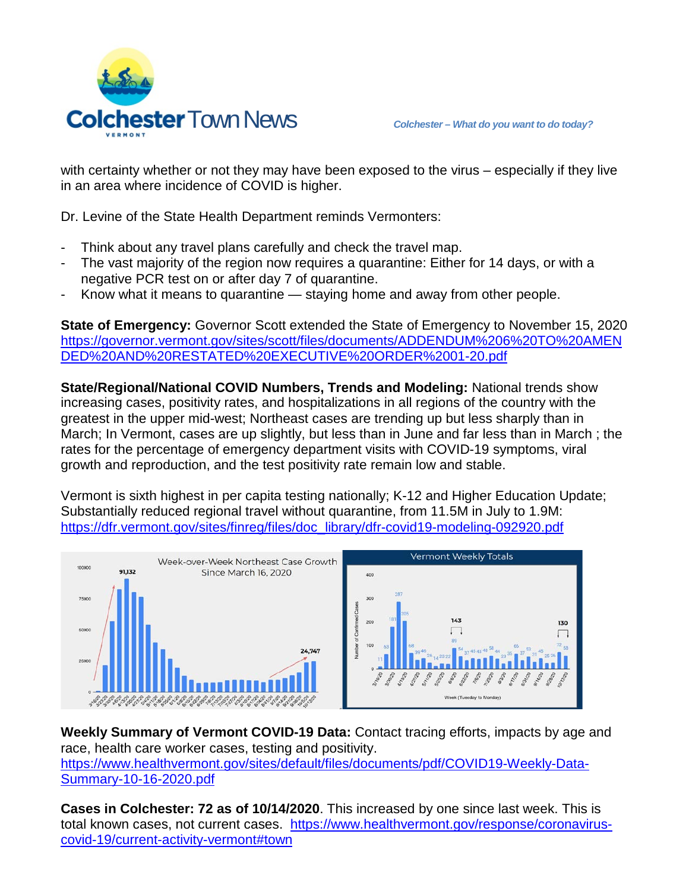

with certainty whether or not they may have been exposed to the virus – especially if they live in an area where incidence of COVID is higher.

Dr. Levine of the State Health Department reminds Vermonters:

- Think about any travel plans carefully and check the travel map.
- The vast majority of the region now requires a quarantine: Either for 14 days, or with a negative PCR test on or after day 7 of quarantine.
- Know what it means to quarantine staying home and away from other people.

**State of Emergency:** Governor Scott extended the State of Emergency to November 15, 2020 [https://governor.vermont.gov/sites/scott/files/documents/ADDENDUM%206%20TO%20AMEN](https://governor.vermont.gov/sites/scott/files/documents/ADDENDUM%206%20TO%20AMENDED%20AND%20RESTATED%20EXECUTIVE%20ORDER%2001-20.pdf) [DED%20AND%20RESTATED%20EXECUTIVE%20ORDER%2001-20.pdf](https://governor.vermont.gov/sites/scott/files/documents/ADDENDUM%206%20TO%20AMENDED%20AND%20RESTATED%20EXECUTIVE%20ORDER%2001-20.pdf)

**State/Regional/National COVID Numbers, Trends and Modeling:** National trends show increasing cases, positivity rates, and hospitalizations in all regions of the country with the greatest in the upper mid-west; Northeast cases are trending up but less sharply than in March; In Vermont, cases are up slightly, but less than in June and far less than in March ; the rates for the percentage of emergency department visits with COVID-19 symptoms, viral growth and reproduction, and the test positivity rate remain low and stable.

Vermont is sixth highest in per capita testing nationally; K-12 and Higher Education Update; Substantially reduced regional travel without quarantine, from 11.5M in July to 1.9M: [https://dfr.vermont.gov/sites/finreg/files/doc\\_library/dfr-covid19-modeling-092920.pdf](https://dfr.vermont.gov/sites/finreg/files/doc_library/dfr-covid19-modeling-092920.pdf)



**Weekly Summary of Vermont COVID-19 Data:** Contact tracing efforts, impacts by age and race, health care worker cases, testing and positivity. https://www.healthvermont.gov/sites/default/files/documents/pdf/COVID19-Weekly-Data-Summary-10-16-2020.pdf

**Cases in Colchester: 72 as of 10/14/2020**. This increased by one since last week. This is total known cases, not current cases. [https://www.healthvermont.gov/response/coronavirus](https://www.healthvermont.gov/response/coronavirus-covid-19/current-activity-vermont#town)[covid-19/current-activity-vermont#town](https://www.healthvermont.gov/response/coronavirus-covid-19/current-activity-vermont#town)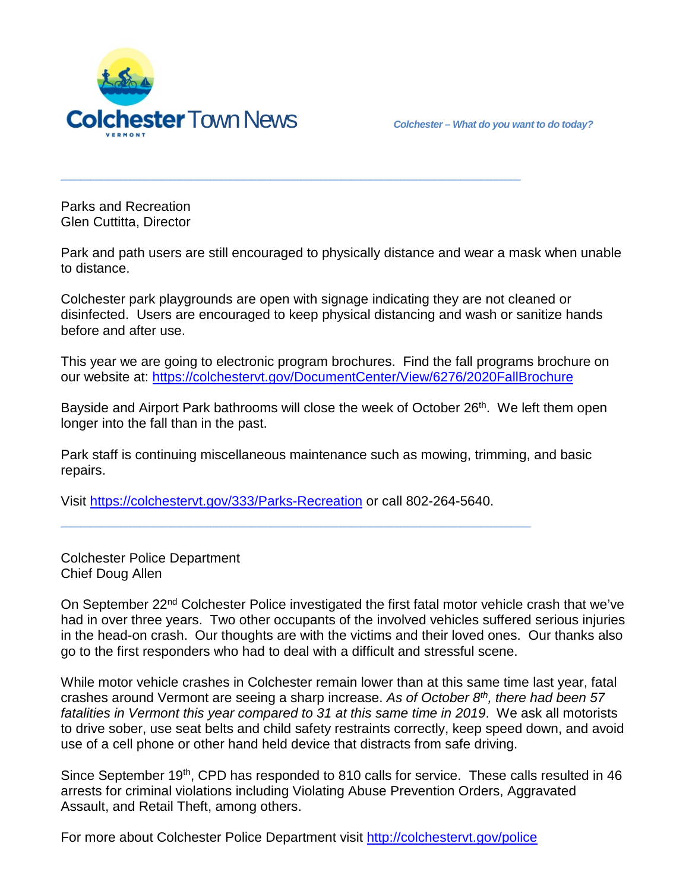

Parks and Recreation Glen Cuttitta, Director

Park and path users are still encouraged to physically distance and wear a mask when unable to distance.

**\_\_\_\_\_\_\_\_\_\_\_\_\_\_\_\_\_\_\_\_\_\_\_\_\_\_\_\_\_\_\_\_\_\_\_\_\_\_\_\_\_\_\_\_\_\_**

Colchester park playgrounds are open with signage indicating they are not cleaned or disinfected. Users are encouraged to keep physical distancing and wash or sanitize hands before and after use.

This year we are going to electronic program brochures. Find the fall programs brochure on our website at:<https://colchestervt.gov/DocumentCenter/View/6276/2020FallBrochure>

Bayside and Airport Park bathrooms will close the week of October 26<sup>th</sup>. We left them open longer into the fall than in the past.

Park staff is continuing miscellaneous maintenance such as mowing, trimming, and basic repairs.

Visit<https://colchestervt.gov/333/Parks-Recreation> or call 802-264-5640.

**\_\_\_\_\_\_\_\_\_\_\_\_\_\_\_\_\_\_\_\_\_\_\_\_\_\_\_\_\_\_\_\_\_\_\_\_\_\_\_\_\_\_\_\_\_\_\_**

Colchester Police Department Chief Doug Allen

On September 22nd Colchester Police investigated the first fatal motor vehicle crash that we've had in over three years. Two other occupants of the involved vehicles suffered serious injuries in the head-on crash. Our thoughts are with the victims and their loved ones. Our thanks also go to the first responders who had to deal with a difficult and stressful scene.

While motor vehicle crashes in Colchester remain lower than at this same time last year, fatal crashes around Vermont are seeing a sharp increase. *As of October 8th, there had been 57 fatalities in Vermont this year compared to 31 at this same time in 2019*. We ask all motorists to drive sober, use seat belts and child safety restraints correctly, keep speed down, and avoid use of a cell phone or other hand held device that distracts from safe driving.

Since September 19<sup>th</sup>, CPD has responded to 810 calls for service. These calls resulted in 46 arrests for criminal violations including Violating Abuse Prevention Orders, Aggravated Assault, and Retail Theft, among others.

For more about Colchester Police Department visit<http://colchestervt.gov/police>